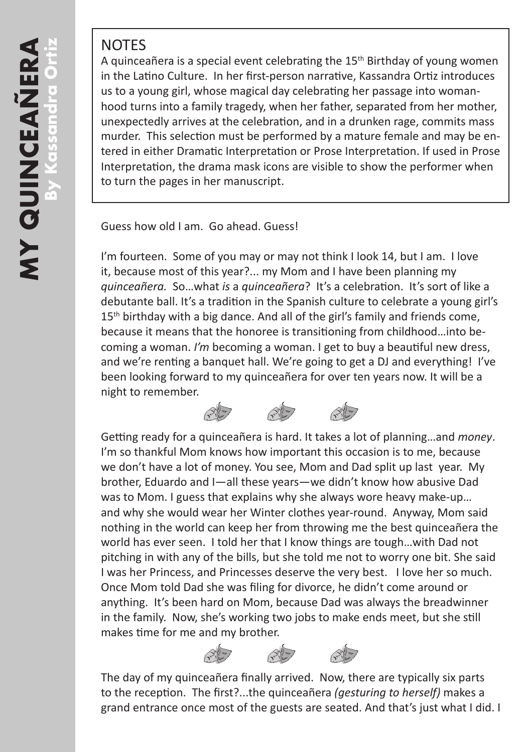## **NOTES**

A quinceañera is a special event celebrating the  $15<sup>th</sup>$  Birthday of young women in the Latino Culture. In her first-person narrative, Kassandra Ortiz introduces us to a young girl, whose magical day celebrating her passage into womanhood turns into a family tragedy, when her father, separated from her mother, unexpectedly arrives at the celebration, and in a drunken rage, commits mass murder. This selection must be performed by a mature female and may be entered in either Dramatic Interpretation or Prose Interpretation. If used in Prose Interpretation, the drama mask icons are visible to show the performer when to turn the pages in her manuscript.

Guess how old I am. Go ahead. Guess!

I'm fourteen. Some of you may or may not think I look 14, but I am. I love it, because most of this year?... my Mom and I have been planning my *quinceañera.* So…what *is* a *quinceañera*? It's a celebration. It's sort of like a debutante ball. It's a tradition in the Spanish culture to celebrate a young girl's  $15<sup>th</sup>$  birthday with a big dance. And all of the girl's family and friends come, because it means that the honoree is transitioning from childhood…into becoming a woman. *I'm* becoming a woman. I get to buy a beautiful new dress, and we're renting a banquet hall. We're going to get a DJ and everything! I've been looking forward to my quinceañera for over ten years now. It will be a night to remember.

 $\overline{z}$ 

Getting ready for a quinceañera is hard. It takes a lot of planning…and *money*. I'm so thankful Mom knows how important this occasion is to me, because we don't have a lot of money. You see, Mom and Dad split up last year. My brother, Eduardo and I—all these years—we didn't know how abusive Dad was to Mom. I guess that explains why she always wore heavy make-up… and why she would wear her Winter clothes year-round. Anyway, Mom said nothing in the world can keep her from throwing me the best quinceañera the world has ever seen. I told her that I know things are tough…with Dad not pitching in with any of the bills, but she told me not to worry one bit. She said I was her Princess, and Princesses deserve the very best. I love her so much. Once Mom told Dad she was filing for divorce, he didn't come around or anything. It's been hard on Mom, because Dad was always the breadwinner in the family. Now, she's working two jobs to make ends meet, but she still makes time for me and my brother.



The day of my quinceañera finally arrived. Now, there are typically six parts to the reception. The first?...the quinceañera *(gesturing to herself)* makes a grand entrance once most of the guests are seated. And that's just what I did. I